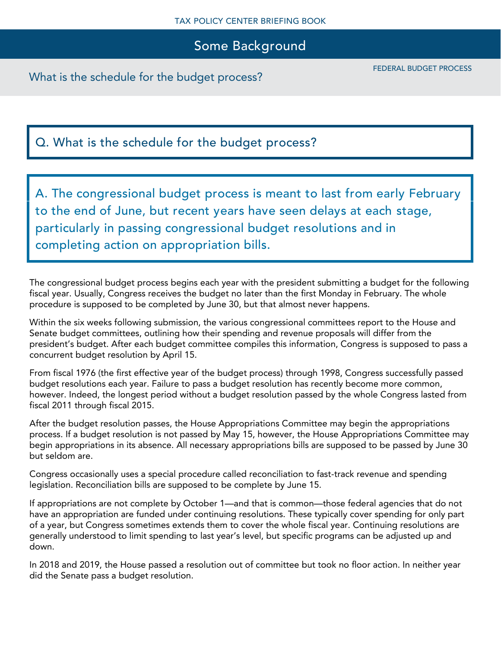### Some Background

What is the schedule for the budget process?

## Q. What is the schedule for the budget process?

A. The congressional budget process is meant to last from early February to the end of June, but recent years have seen delays at each stage, particularly in passing congressional budget resolutions and in completing action on appropriation bills.

The congressional budget process begins each year with the president submitting a budget for the following fiscal year. Usually, Congress receives the budget no later than the first Monday in February. The whole procedure is supposed to be completed by June 30, but that almost never happens.

Within the six weeks following submission, the various congressional committees report to the House and Senate budget committees, outlining how their spending and revenue proposals will differ from the president's budget. After each budget committee compiles this information, Congress is supposed to pass a concurrent budget resolution by April 15.

From fiscal 1976 (the first effective year of the budget process) through 1998, Congress successfully passed budget resolutions each year. Failure to pass a budget resolution has recently become more common, however. Indeed, the longest period without a budget resolution passed by the whole Congress lasted from fiscal 2011 through fiscal 2015.

After the budget resolution passes, the House Appropriations Committee may begin the appropriations process. If a budget resolution is not passed by May 15, however, the House Appropriations Committee may begin appropriations in its absence. All necessary appropriations bills are supposed to be passed by June 30 but seldom are.

Congress occasionally uses a special procedure called reconciliation to fast-track revenue and spending legislation. Reconciliation bills are supposed to be complete by June 15.

If appropriations are not complete by October 1—and that is common—those federal agencies that do not have an appropriation are funded under continuing resolutions. These typically cover spending for only part of a year, but Congress sometimes extends them to cover the whole fiscal year. Continuing resolutions are generally understood to limit spending to last year's level, but specific programs can be adjusted up and down.

In 2018 and 2019, the House passed a resolution out of committee but took no floor action. In neither year did the Senate pass a budget resolution.

FEDERAL BUDGET PROCESS